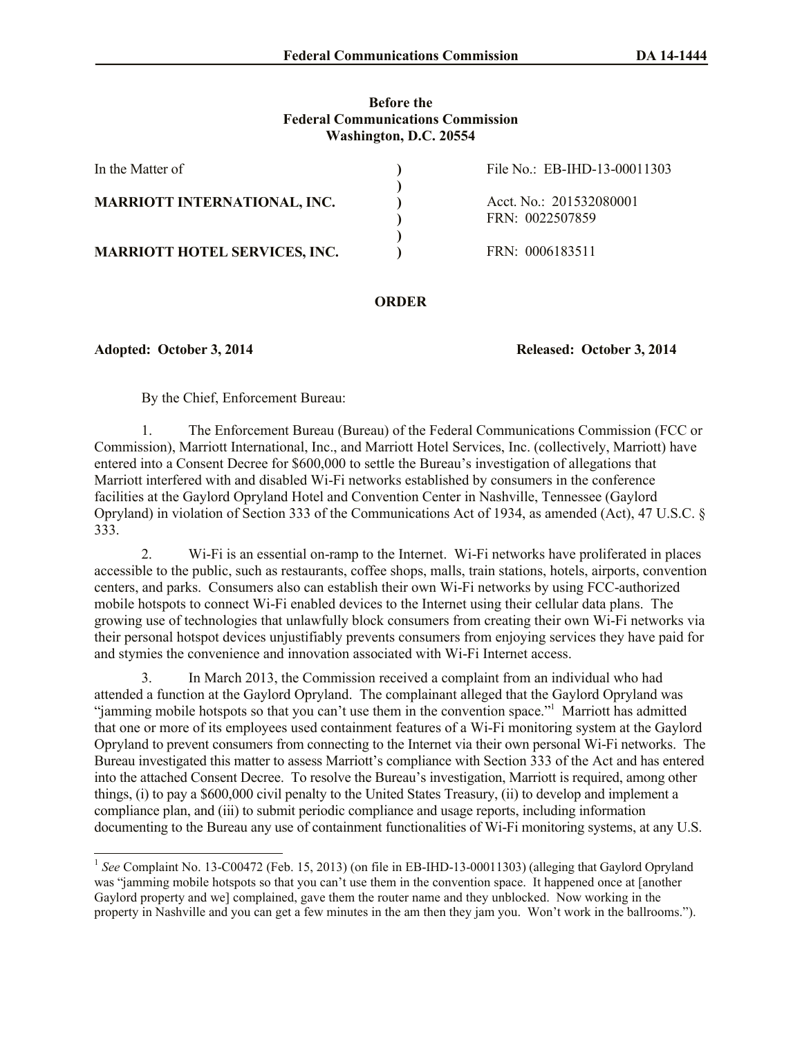### **Before the Federal Communications Commission Washington, D.C. 20554**

| In the Matter of                     | File No.: EB-IHD-13-00011303               |
|--------------------------------------|--------------------------------------------|
| <b>MARRIOTT INTERNATIONAL, INC.</b>  | Acct. No.: 201532080001<br>FRN: 0022507859 |
| <b>MARRIOTT HOTEL SERVICES, INC.</b> | FRN: 0006183511                            |

## **ORDER**

**Adopted: October 3, 2014 Released: October 3, 2014**

By the Chief, Enforcement Bureau:

1. The Enforcement Bureau (Bureau) of the Federal Communications Commission (FCC or Commission), Marriott International, Inc., and Marriott Hotel Services, Inc. (collectively, Marriott) have entered into a Consent Decree for \$600,000 to settle the Bureau's investigation of allegations that Marriott interfered with and disabled Wi-Fi networks established by consumers in the conference facilities at the Gaylord Opryland Hotel and Convention Center in Nashville, Tennessee (Gaylord Opryland) in violation of Section 333 of the Communications Act of 1934, as amended (Act), 47 U.S.C. § 333.

2. Wi-Fi is an essential on-ramp to the Internet. Wi-Fi networks have proliferated in places accessible to the public, such as restaurants, coffee shops, malls, train stations, hotels, airports, convention centers, and parks. Consumers also can establish their own Wi-Fi networks by using FCC-authorized mobile hotspots to connect Wi-Fi enabled devices to the Internet using their cellular data plans. The growing use of technologies that unlawfully block consumers from creating their own Wi-Fi networks via their personal hotspot devices unjustifiably prevents consumers from enjoying services they have paid for and stymies the convenience and innovation associated with Wi-Fi Internet access.

3. In March 2013, the Commission received a complaint from an individual who had attended a function at the Gaylord Opryland. The complainant alleged that the Gaylord Opryland was "jamming mobile hotspots so that you can't use them in the convention space."<sup>1</sup> Marriott has admitted that one or more of its employees used containment features of a Wi-Fi monitoring system at the Gaylord Opryland to prevent consumers from connecting to the Internet via their own personal Wi-Fi networks. The Bureau investigated this matter to assess Marriott's compliance with Section 333 of the Act and has entered into the attached Consent Decree. To resolve the Bureau's investigation, Marriott is required, among other things, (i) to pay a \$600,000 civil penalty to the United States Treasury, (ii) to develop and implement a compliance plan, and (iii) to submit periodic compliance and usage reports, including information documenting to the Bureau any use of containment functionalities of Wi-Fi monitoring systems, at any U.S.

<sup>&</sup>lt;sup>1</sup> See Complaint No. 13-C00472 (Feb. 15, 2013) (on file in EB-IHD-13-00011303) (alleging that Gaylord Opryland was "jamming mobile hotspots so that you can't use them in the convention space. It happened once at [another Gaylord property and we] complained, gave them the router name and they unblocked. Now working in the property in Nashville and you can get a few minutes in the am then they jam you. Won't work in the ballrooms.").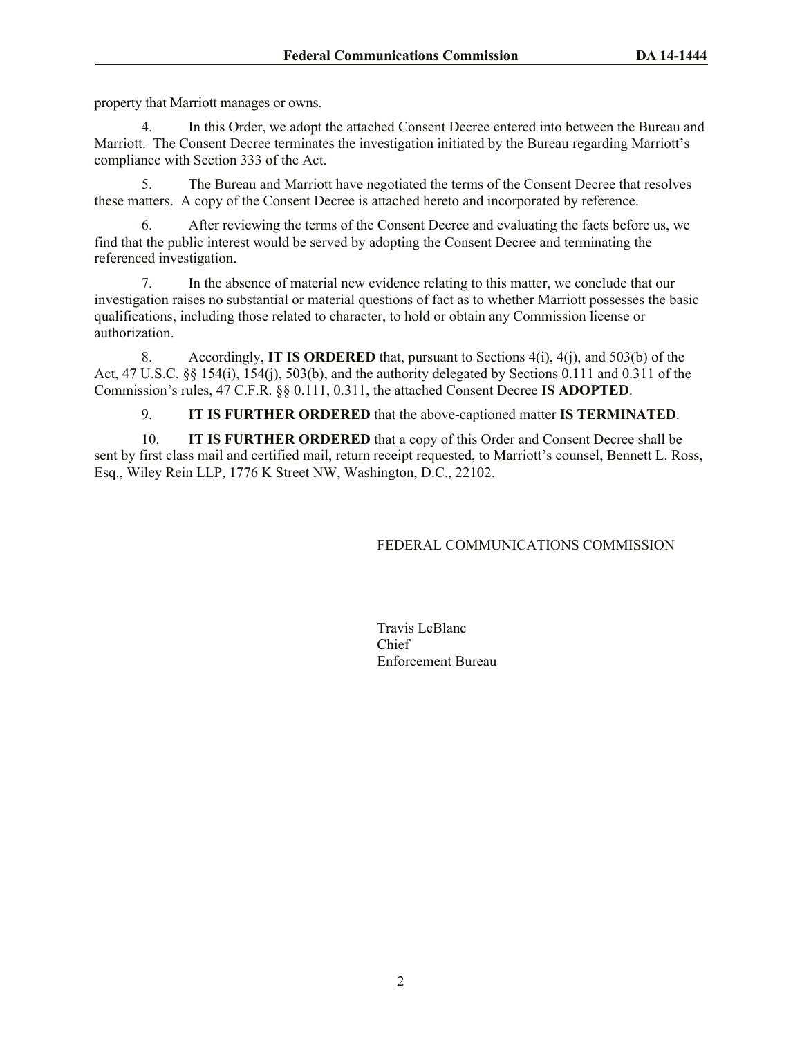property that Marriott manages or owns.

4. In this Order, we adopt the attached Consent Decree entered into between the Bureau and Marriott. The Consent Decree terminates the investigation initiated by the Bureau regarding Marriott's compliance with Section 333 of the Act.

5. The Bureau and Marriott have negotiated the terms of the Consent Decree that resolves these matters. A copy of the Consent Decree is attached hereto and incorporated by reference.

6. After reviewing the terms of the Consent Decree and evaluating the facts before us, we find that the public interest would be served by adopting the Consent Decree and terminating the referenced investigation.

7. In the absence of material new evidence relating to this matter, we conclude that our investigation raises no substantial or material questions of fact as to whether Marriott possesses the basic qualifications, including those related to character, to hold or obtain any Commission license or authorization.

8. Accordingly, **IT IS ORDERED** that, pursuant to Sections 4(i), 4(j), and 503(b) of the Act, 47 U.S.C. §§ 154(i), 154(j), 503(b), and the authority delegated by Sections 0.111 and 0.311 of the Commission's rules, 47 C.F.R. §§ 0.111, 0.311, the attached Consent Decree **IS ADOPTED**.

9. **IT IS FURTHER ORDERED** that the above-captioned matter **IS TERMINATED**.

10. **IT IS FURTHER ORDERED** that a copy of this Order and Consent Decree shall be sent by first class mail and certified mail, return receipt requested, to Marriott's counsel, Bennett L. Ross, Esq., Wiley Rein LLP, 1776 K Street NW, Washington, D.C., 22102.

# FEDERAL COMMUNICATIONS COMMISSION

Travis LeBlanc Chief Enforcement Bureau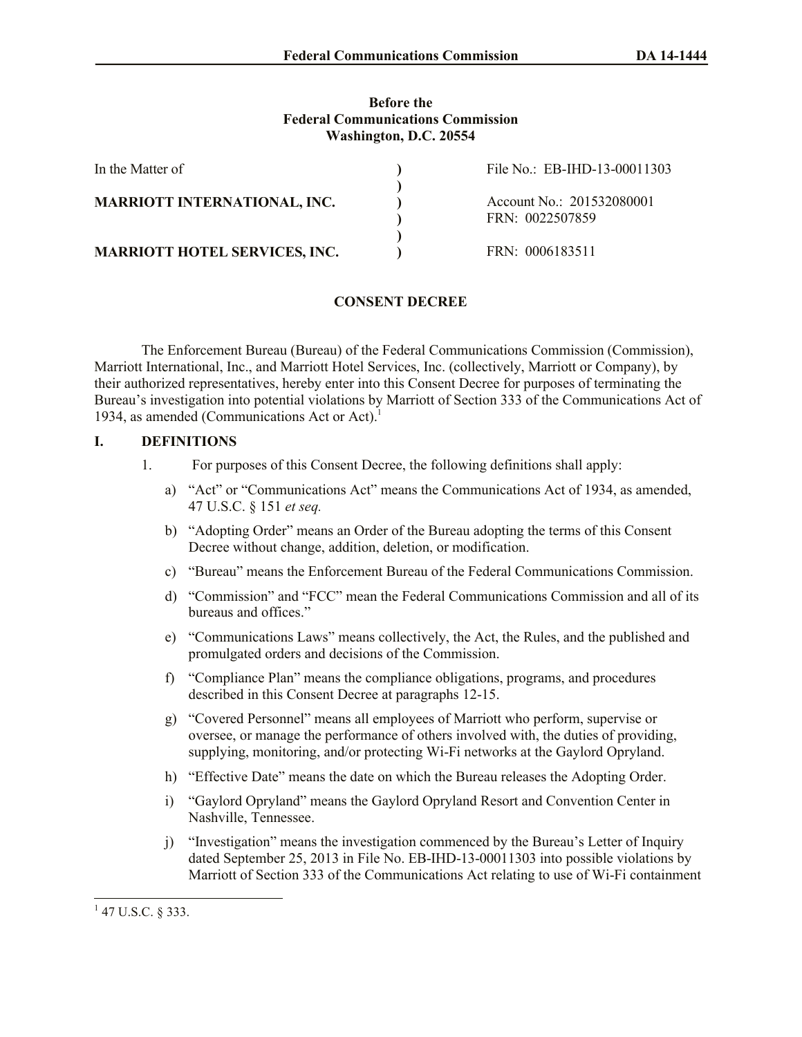### **Before the Federal Communications Commission Washington, D.C. 20554**

| In the Matter of                     | File No.: EB-IHD-13-00011303                 |
|--------------------------------------|----------------------------------------------|
| <b>MARRIOTT INTERNATIONAL, INC.</b>  | Account No.: 201532080001<br>FRN: 0022507859 |
| <b>MARRIOTT HOTEL SERVICES, INC.</b> | FRN: 0006183511                              |

## **CONSENT DECREE**

The Enforcement Bureau (Bureau) of the Federal Communications Commission (Commission), Marriott International, Inc., and Marriott Hotel Services, Inc. (collectively, Marriott or Company), by their authorized representatives, hereby enter into this Consent Decree for purposes of terminating the Bureau's investigation into potential violations by Marriott of Section 333 of the Communications Act of 1934, as amended (Communications Act or Act). 1

### **I. DEFINITIONS**

- 1. For purposes of this Consent Decree, the following definitions shall apply:
	- a) "Act" or "Communications Act" means the Communications Act of 1934, as amended, 47 U.S.C. § 151 *et seq.*
	- b) "Adopting Order" means an Order of the Bureau adopting the terms of this Consent Decree without change, addition, deletion, or modification.
	- c) "Bureau" means the Enforcement Bureau of the Federal Communications Commission.
	- d) "Commission" and "FCC" mean the Federal Communications Commission and all of its bureaus and offices."
	- e) "Communications Laws" means collectively, the Act, the Rules, and the published and promulgated orders and decisions of the Commission.
	- f) "Compliance Plan" means the compliance obligations, programs, and procedures described in this Consent Decree at paragraphs 12-15.
	- g) "Covered Personnel" means all employees of Marriott who perform, supervise or oversee, or manage the performance of others involved with, the duties of providing, supplying, monitoring, and/or protecting Wi-Fi networks at the Gaylord Opryland.
	- h) "Effective Date" means the date on which the Bureau releases the Adopting Order.
	- i) "Gaylord Opryland" means the Gaylord Opryland Resort and Convention Center in Nashville, Tennessee.
	- j) "Investigation" means the investigation commenced by the Bureau's Letter of Inquiry dated September 25, 2013 in File No. EB-IHD-13-00011303 into possible violations by Marriott of Section 333 of the Communications Act relating to use of Wi-Fi containment

 $\overline{a}$ 

 $1$  47 U.S.C. § 333.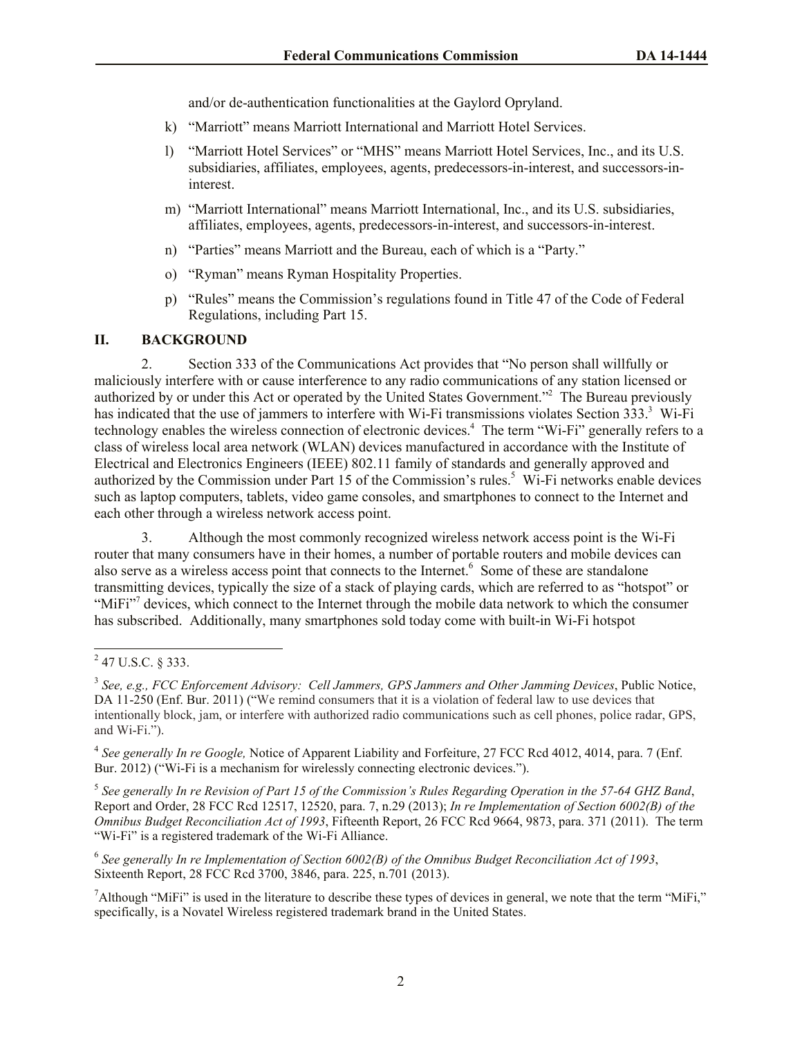and/or de-authentication functionalities at the Gaylord Opryland.

- k) "Marriott" means Marriott International and Marriott Hotel Services.
- l) "Marriott Hotel Services" or "MHS" means Marriott Hotel Services, Inc., and its U.S. subsidiaries, affiliates, employees, agents, predecessors-in-interest, and successors-ininterest.
- m) "Marriott International" means Marriott International, Inc., and its U.S. subsidiaries, affiliates, employees, agents, predecessors-in-interest, and successors-in-interest.
- n) "Parties" means Marriott and the Bureau, each of which is a "Party."
- o) "Ryman" means Ryman Hospitality Properties.
- p) "Rules" means the Commission's regulations found in Title 47 of the Code of Federal Regulations, including Part 15.

### **II. BACKGROUND**

2. Section 333 of the Communications Act provides that "No person shall willfully or maliciously interfere with or cause interference to any radio communications of any station licensed or authorized by or under this Act or operated by the United States Government."<sup>2</sup> The Bureau previously has indicated that the use of jammers to interfere with Wi-Fi transmissions violates Section 333.<sup>3</sup> Wi-Fi technology enables the wireless connection of electronic devices.<sup>4</sup> The term "Wi-Fi" generally refers to a class of wireless local area network (WLAN) devices manufactured in accordance with the Institute of Electrical and Electronics Engineers (IEEE) 802.11 family of standards and generally approved and authorized by the Commission under Part 15 of the Commission's rules.<sup>5</sup> Wi-Fi networks enable devices such as laptop computers, tablets, video game consoles, and smartphones to connect to the Internet and each other through a wireless network access point.

3. Although the most commonly recognized wireless network access point is the Wi-Fi router that many consumers have in their homes, a number of portable routers and mobile devices can also serve as a wireless access point that connects to the Internet.<sup>6</sup> Some of these are standalone transmitting devices, typically the size of a stack of playing cards, which are referred to as "hotspot" or "MiFi"<sup>7</sup> devices, which connect to the Internet through the mobile data network to which the consumer has subscribed. Additionally, many smartphones sold today come with built-in Wi-Fi hotspot

l

5 *See generally In re Revision of Part 15 of the Commission's Rules Regarding Operation in the 57-64 GHZ Band*, Report and Order, 28 FCC Rcd 12517, 12520, para. 7, n.29 (2013); *In re Implementation of Section 6002(B) of the Omnibus Budget Reconciliation Act of 1993*, Fifteenth Report, 26 FCC Rcd 9664, 9873, para. 371 (2011). The term "Wi-Fi" is a registered trademark of the Wi-Fi Alliance.

6 *See generally In re Implementation of Section 6002(B) of the Omnibus Budget Reconciliation Act of 1993*, Sixteenth Report, 28 FCC Rcd 3700, 3846, para. 225, n.701 (2013).

<sup>7</sup>Although "MiFi" is used in the literature to describe these types of devices in general, we note that the term "MiFi," specifically, is a Novatel Wireless registered trademark brand in the United States.

 $^{2}$  47 U.S.C. § 333.

<sup>3</sup> *See, e.g., FCC Enforcement Advisory: Cell Jammers, GPS Jammers and Other Jamming Devices*, Public Notice, DA 11-250 (Enf. Bur. 2011) ("We remind consumers that it is a violation of federal law to use devices that intentionally block, jam, or interfere with authorized radio communications such as cell phones, police radar, GPS, and Wi-Fi.").

<sup>&</sup>lt;sup>4</sup> See generally In re Google, Notice of Apparent Liability and Forfeiture, 27 FCC Rcd 4012, 4014, para. 7 (Enf. Bur. 2012) ("Wi-Fi is a mechanism for wirelessly connecting electronic devices.").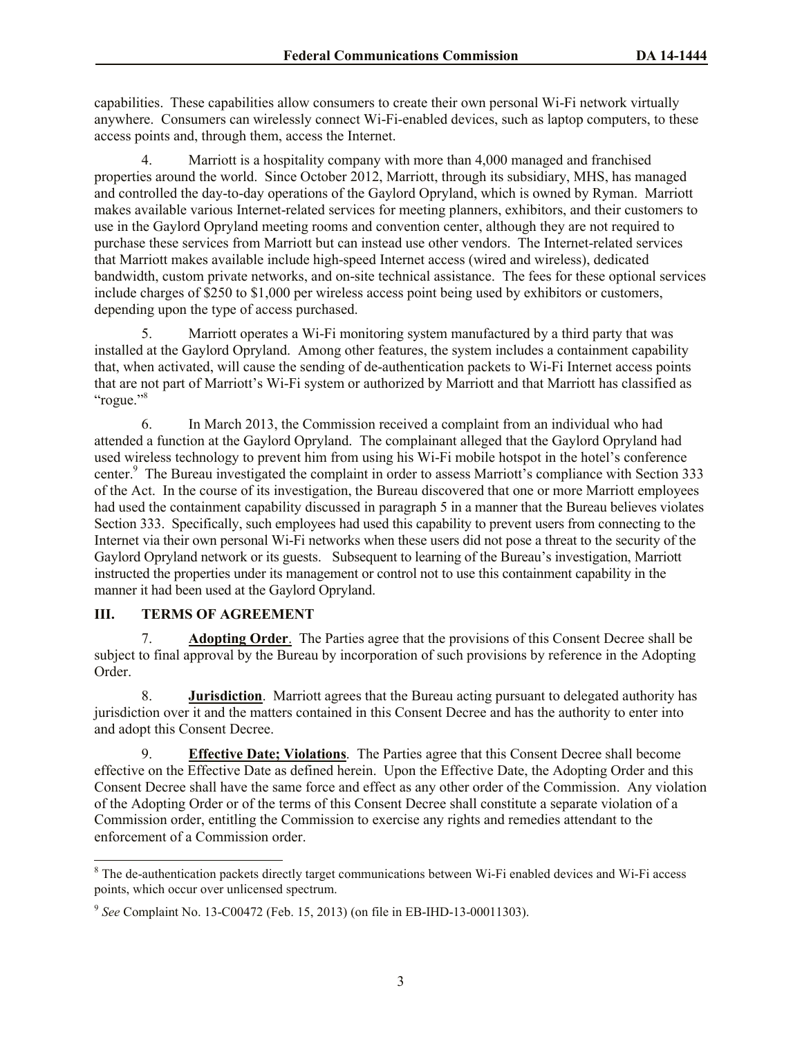capabilities. These capabilities allow consumers to create their own personal Wi-Fi network virtually anywhere. Consumers can wirelessly connect Wi-Fi-enabled devices, such as laptop computers, to these access points and, through them, access the Internet.

4. Marriott is a hospitality company with more than 4,000 managed and franchised properties around the world. Since October 2012, Marriott, through its subsidiary, MHS, has managed and controlled the day-to-day operations of the Gaylord Opryland, which is owned by Ryman. Marriott makes available various Internet-related services for meeting planners, exhibitors, and their customers to use in the Gaylord Opryland meeting rooms and convention center, although they are not required to purchase these services from Marriott but can instead use other vendors. The Internet-related services that Marriott makes available include high-speed Internet access (wired and wireless), dedicated bandwidth, custom private networks, and on-site technical assistance. The fees for these optional services include charges of \$250 to \$1,000 per wireless access point being used by exhibitors or customers, depending upon the type of access purchased.

5. Marriott operates a Wi-Fi monitoring system manufactured by a third party that was installed at the Gaylord Opryland. Among other features, the system includes a containment capability that, when activated, will cause the sending of de-authentication packets to Wi-Fi Internet access points that are not part of Marriott's Wi-Fi system or authorized by Marriott and that Marriott has classified as "rogue."<sup>8</sup>

6. In March 2013, the Commission received a complaint from an individual who had attended a function at the Gaylord Opryland. The complainant alleged that the Gaylord Opryland had used wireless technology to prevent him from using his Wi-Fi mobile hotspot in the hotel's conference center.<sup>9</sup> The Bureau investigated the complaint in order to assess Marriott's compliance with Section 333 of the Act. In the course of its investigation, the Bureau discovered that one or more Marriott employees had used the containment capability discussed in paragraph 5 in a manner that the Bureau believes violates Section 333. Specifically, such employees had used this capability to prevent users from connecting to the Internet via their own personal Wi-Fi networks when these users did not pose a threat to the security of the Gaylord Opryland network or its guests. Subsequent to learning of the Bureau's investigation, Marriott instructed the properties under its management or control not to use this containment capability in the manner it had been used at the Gaylord Opryland.

# **III. TERMS OF AGREEMENT**

l

7. **Adopting Order**. The Parties agree that the provisions of this Consent Decree shall be subject to final approval by the Bureau by incorporation of such provisions by reference in the Adopting Order.

8. **Jurisdiction**. Marriott agrees that the Bureau acting pursuant to delegated authority has jurisdiction over it and the matters contained in this Consent Decree and has the authority to enter into and adopt this Consent Decree.

9. **Effective Date; Violations**. The Parties agree that this Consent Decree shall become effective on the Effective Date as defined herein. Upon the Effective Date, the Adopting Order and this Consent Decree shall have the same force and effect as any other order of the Commission. Any violation of the Adopting Order or of the terms of this Consent Decree shall constitute a separate violation of a Commission order, entitling the Commission to exercise any rights and remedies attendant to the enforcement of a Commission order.

<sup>8</sup> The de-authentication packets directly target communications between Wi-Fi enabled devices and Wi-Fi access points, which occur over unlicensed spectrum.

<sup>9</sup> *See* Complaint No. 13-C00472 (Feb. 15, 2013) (on file in EB-IHD-13-00011303).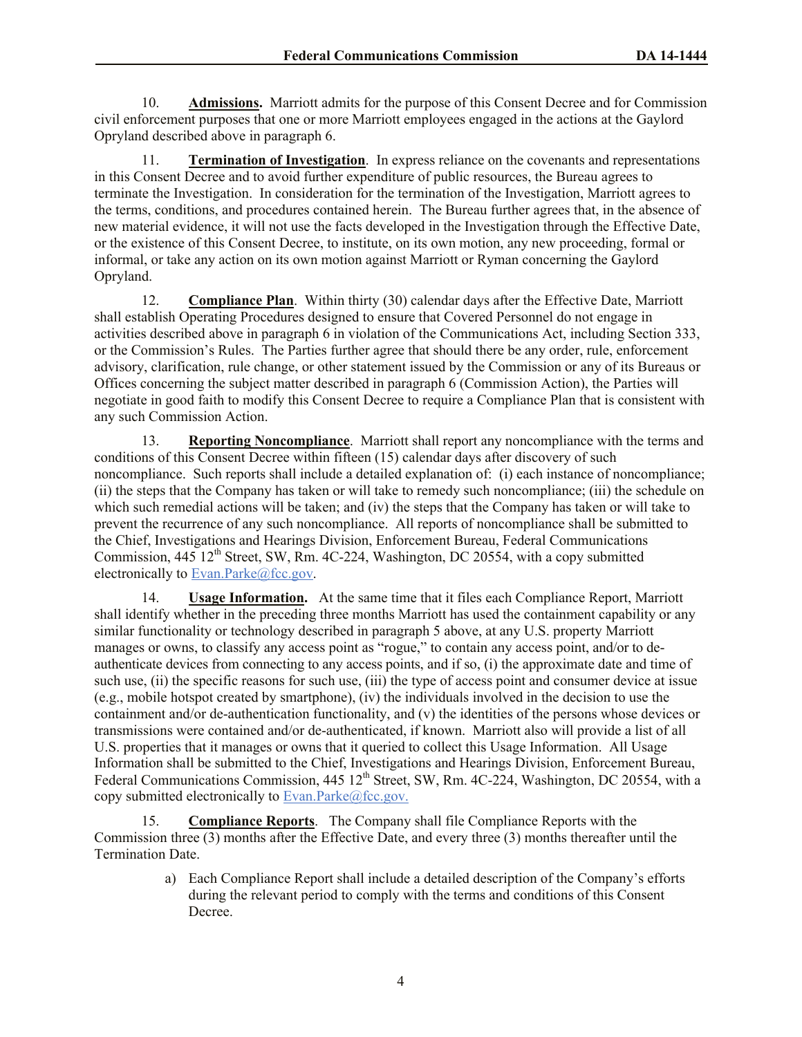10. **Admissions.** Marriott admits for the purpose of this Consent Decree and for Commission civil enforcement purposes that one or more Marriott employees engaged in the actions at the Gaylord Opryland described above in paragraph 6.

11. **Termination of Investigation**. In express reliance on the covenants and representations in this Consent Decree and to avoid further expenditure of public resources, the Bureau agrees to terminate the Investigation. In consideration for the termination of the Investigation, Marriott agrees to the terms, conditions, and procedures contained herein. The Bureau further agrees that, in the absence of new material evidence, it will not use the facts developed in the Investigation through the Effective Date, or the existence of this Consent Decree, to institute, on its own motion, any new proceeding, formal or informal, or take any action on its own motion against Marriott or Ryman concerning the Gaylord Opryland.

12. **Compliance Plan**. Within thirty (30) calendar days after the Effective Date, Marriott shall establish Operating Procedures designed to ensure that Covered Personnel do not engage in activities described above in paragraph 6 in violation of the Communications Act, including Section 333, or the Commission's Rules. The Parties further agree that should there be any order, rule, enforcement advisory, clarification, rule change, or other statement issued by the Commission or any of its Bureaus or Offices concerning the subject matter described in paragraph 6 (Commission Action), the Parties will negotiate in good faith to modify this Consent Decree to require a Compliance Plan that is consistent with any such Commission Action.

13. **Reporting Noncompliance**. Marriott shall report any noncompliance with the terms and conditions of this Consent Decree within fifteen (15) calendar days after discovery of such noncompliance. Such reports shall include a detailed explanation of: (i) each instance of noncompliance; (ii) the steps that the Company has taken or will take to remedy such noncompliance; (iii) the schedule on which such remedial actions will be taken; and (iv) the steps that the Company has taken or will take to prevent the recurrence of any such noncompliance. All reports of noncompliance shall be submitted to the Chief, Investigations and Hearings Division, Enforcement Bureau, Federal Communications Commission,  $445 \times 12^{th}$  Street, SW, Rm. 4C-224, Washington, DC 20554, with a copy submitted electronically to **Evan.Parke@fcc.gov.** 

14. **Usage Information.** At the same time that it files each Compliance Report, Marriott shall identify whether in the preceding three months Marriott has used the containment capability or any similar functionality or technology described in paragraph 5 above, at any U.S. property Marriott manages or owns, to classify any access point as "rogue," to contain any access point, and/or to deauthenticate devices from connecting to any access points, and if so, (i) the approximate date and time of such use, (ii) the specific reasons for such use, (iii) the type of access point and consumer device at issue (e.g., mobile hotspot created by smartphone), (iv) the individuals involved in the decision to use the containment and/or de-authentication functionality, and (v) the identities of the persons whose devices or transmissions were contained and/or de-authenticated, if known. Marriott also will provide a list of all U.S. properties that it manages or owns that it queried to collect this Usage Information. All Usage Information shall be submitted to the Chief, Investigations and Hearings Division, Enforcement Bureau, Federal Communications Commission, 445 12<sup>th</sup> Street, SW, Rm. 4C-224, Washington, DC 20554, with a copy submitted electronically to Evan.Parke@fcc.gov.

15. **Compliance Reports**. The Company shall file Compliance Reports with the Commission three (3) months after the Effective Date, and every three (3) months thereafter until the Termination Date.

> a) Each Compliance Report shall include a detailed description of the Company's efforts during the relevant period to comply with the terms and conditions of this Consent Decree.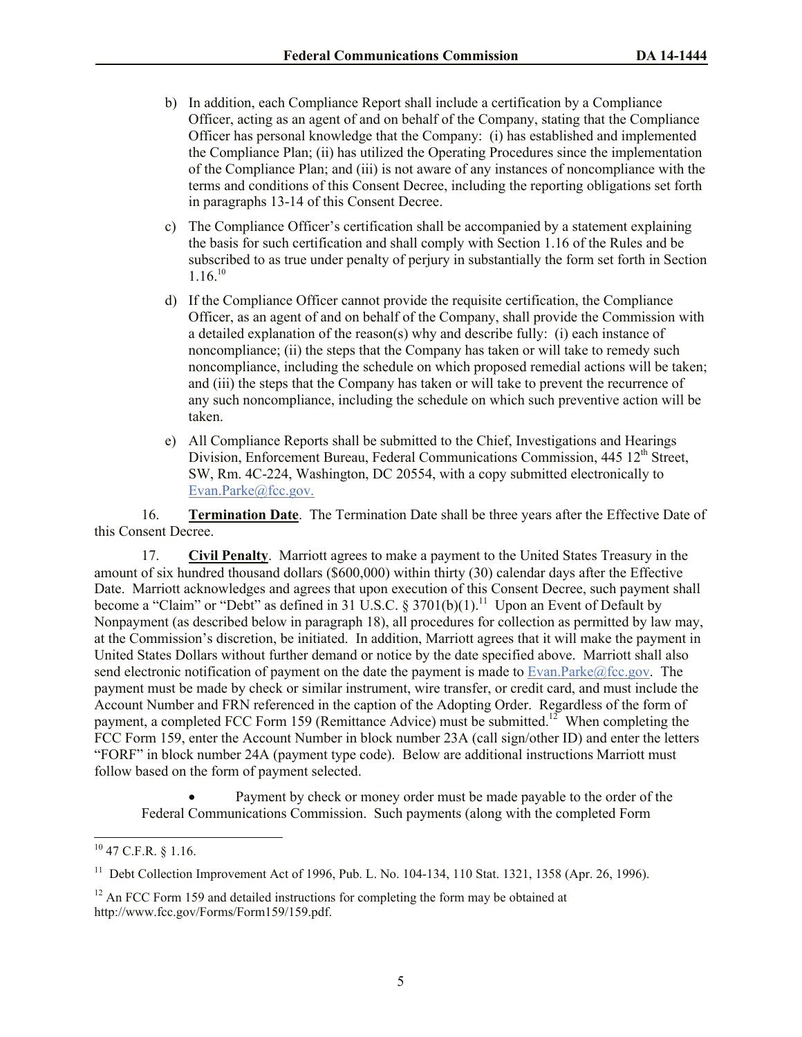- b) In addition, each Compliance Report shall include a certification by a Compliance Officer, acting as an agent of and on behalf of the Company, stating that the Compliance Officer has personal knowledge that the Company: (i) has established and implemented the Compliance Plan; (ii) has utilized the Operating Procedures since the implementation of the Compliance Plan; and (iii) is not aware of any instances of noncompliance with the terms and conditions of this Consent Decree, including the reporting obligations set forth in paragraphs 13-14 of this Consent Decree.
- c) The Compliance Officer's certification shall be accompanied by a statement explaining the basis for such certification and shall comply with Section 1.16 of the Rules and be subscribed to as true under penalty of perjury in substantially the form set forth in Section  $1.16^{10}$
- d) If the Compliance Officer cannot provide the requisite certification, the Compliance Officer, as an agent of and on behalf of the Company, shall provide the Commission with a detailed explanation of the reason(s) why and describe fully: (i) each instance of noncompliance; (ii) the steps that the Company has taken or will take to remedy such noncompliance, including the schedule on which proposed remedial actions will be taken; and (iii) the steps that the Company has taken or will take to prevent the recurrence of any such noncompliance, including the schedule on which such preventive action will be taken.
- e) All Compliance Reports shall be submitted to the Chief, Investigations and Hearings Division, Enforcement Bureau, Federal Communications Commission, 445 12<sup>th</sup> Street, SW, Rm. 4C-224, Washington, DC 20554, with a copy submitted electronically to Evan.Parke@fcc.gov.

16. **Termination Date**. The Termination Date shall be three years after the Effective Date of this Consent Decree.

17. **Civil Penalty**. Marriott agrees to make a payment to the United States Treasury in the amount of six hundred thousand dollars (\$600,000) within thirty (30) calendar days after the Effective Date. Marriott acknowledges and agrees that upon execution of this Consent Decree, such payment shall become a "Claim" or "Debt" as defined in 31 U.S.C.  $\S 3701(b)(1)$ .<sup>11</sup> Upon an Event of Default by Nonpayment (as described below in paragraph 18), all procedures for collection as permitted by law may, at the Commission's discretion, be initiated. In addition, Marriott agrees that it will make the payment in United States Dollars without further demand or notice by the date specified above. Marriott shall also send electronic notification of payment on the date the payment is made to Evan.Parke@fcc.gov. The payment must be made by check or similar instrument, wire transfer, or credit card, and must include the Account Number and FRN referenced in the caption of the Adopting Order. Regardless of the form of payment, a completed FCC Form 159 (Remittance Advice) must be submitted.<sup>12</sup> When completing the FCC Form 159, enter the Account Number in block number 23A (call sign/other ID) and enter the letters "FORF" in block number 24A (payment type code). Below are additional instructions Marriott must follow based on the form of payment selected.

 Payment by check or money order must be made payable to the order of the Federal Communications Commission. Such payments (along with the completed Form

 $\overline{a}$ 

 $10$  47 C.F.R. § 1.16.

<sup>&</sup>lt;sup>11</sup> Debt Collection Improvement Act of 1996, Pub. L. No. 104-134, 110 Stat. 1321, 1358 (Apr. 26, 1996).

 $12$  An FCC Form 159 and detailed instructions for completing the form may be obtained at http://www.fcc.gov/Forms/Form159/159.pdf.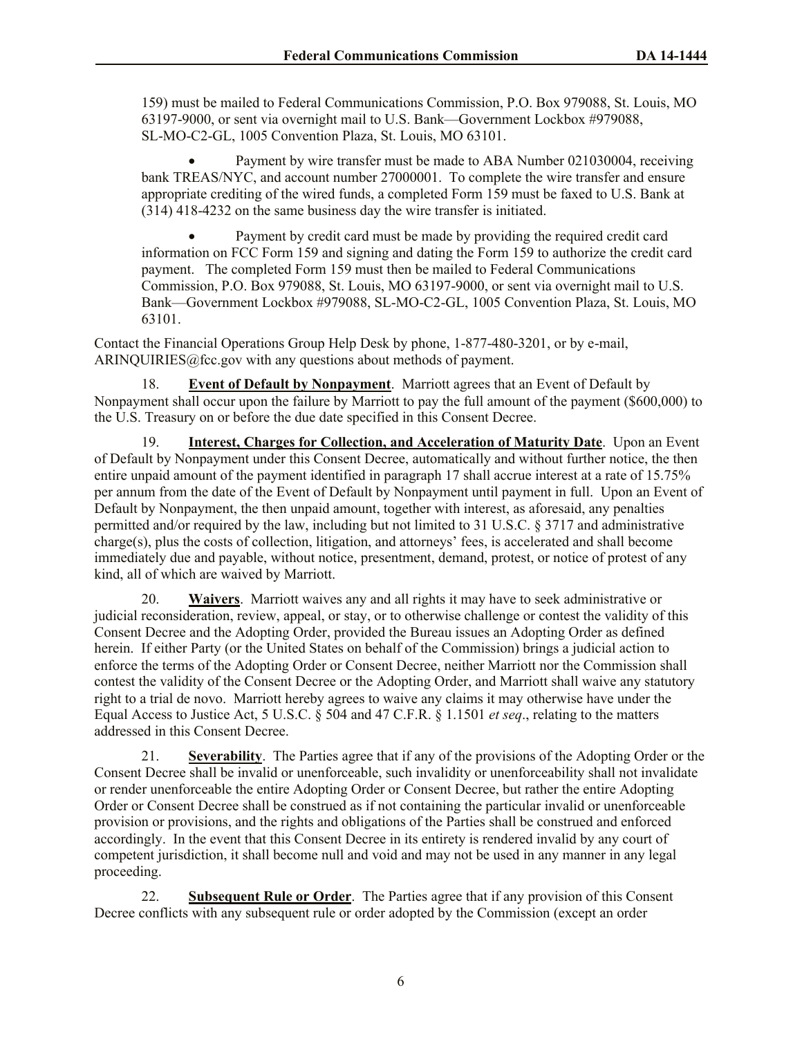159) must be mailed to Federal Communications Commission, P.O. Box 979088, St. Louis, MO 63197-9000, or sent via overnight mail to U.S. Bank—Government Lockbox #979088, SL-MO-C2-GL, 1005 Convention Plaza, St. Louis, MO 63101.

 Payment by wire transfer must be made to ABA Number 021030004, receiving bank TREAS/NYC, and account number 27000001. To complete the wire transfer and ensure appropriate crediting of the wired funds, a completed Form 159 must be faxed to U.S. Bank at (314) 418-4232 on the same business day the wire transfer is initiated.

 Payment by credit card must be made by providing the required credit card information on FCC Form 159 and signing and dating the Form 159 to authorize the credit card payment. The completed Form 159 must then be mailed to Federal Communications Commission, P.O. Box 979088, St. Louis, MO 63197-9000, or sent via overnight mail to U.S. Bank—Government Lockbox #979088, SL-MO-C2-GL, 1005 Convention Plaza, St. Louis, MO 63101.

Contact the Financial Operations Group Help Desk by phone, 1-877-480-3201, or by e-mail, ARINQUIRIES@fcc.gov with any questions about methods of payment.

**Event of Default by Nonpayment.** Marriott agrees that an Event of Default by Nonpayment shall occur upon the failure by Marriott to pay the full amount of the payment (\$600,000) to the U.S. Treasury on or before the due date specified in this Consent Decree.

19. **Interest, Charges for Collection, and Acceleration of Maturity Date**. Upon an Event of Default by Nonpayment under this Consent Decree, automatically and without further notice, the then entire unpaid amount of the payment identified in paragraph 17 shall accrue interest at a rate of 15.75% per annum from the date of the Event of Default by Nonpayment until payment in full. Upon an Event of Default by Nonpayment, the then unpaid amount, together with interest, as aforesaid, any penalties permitted and/or required by the law, including but not limited to 31 U.S.C. § 3717 and administrative charge(s), plus the costs of collection, litigation, and attorneys' fees, is accelerated and shall become immediately due and payable, without notice, presentment, demand, protest, or notice of protest of any kind, all of which are waived by Marriott.

20. **Waivers**. Marriott waives any and all rights it may have to seek administrative or judicial reconsideration, review, appeal, or stay, or to otherwise challenge or contest the validity of this Consent Decree and the Adopting Order, provided the Bureau issues an Adopting Order as defined herein. If either Party (or the United States on behalf of the Commission) brings a judicial action to enforce the terms of the Adopting Order or Consent Decree, neither Marriott nor the Commission shall contest the validity of the Consent Decree or the Adopting Order, and Marriott shall waive any statutory right to a trial de novo. Marriott hereby agrees to waive any claims it may otherwise have under the Equal Access to Justice Act, 5 U.S.C. § 504 and 47 C.F.R. § 1.1501 *et seq*., relating to the matters addressed in this Consent Decree.

21. **Severability**. The Parties agree that if any of the provisions of the Adopting Order or the Consent Decree shall be invalid or unenforceable, such invalidity or unenforceability shall not invalidate or render unenforceable the entire Adopting Order or Consent Decree, but rather the entire Adopting Order or Consent Decree shall be construed as if not containing the particular invalid or unenforceable provision or provisions, and the rights and obligations of the Parties shall be construed and enforced accordingly. In the event that this Consent Decree in its entirety is rendered invalid by any court of competent jurisdiction, it shall become null and void and may not be used in any manner in any legal proceeding.

22. **Subsequent Rule or Order**. The Parties agree that if any provision of this Consent Decree conflicts with any subsequent rule or order adopted by the Commission (except an order